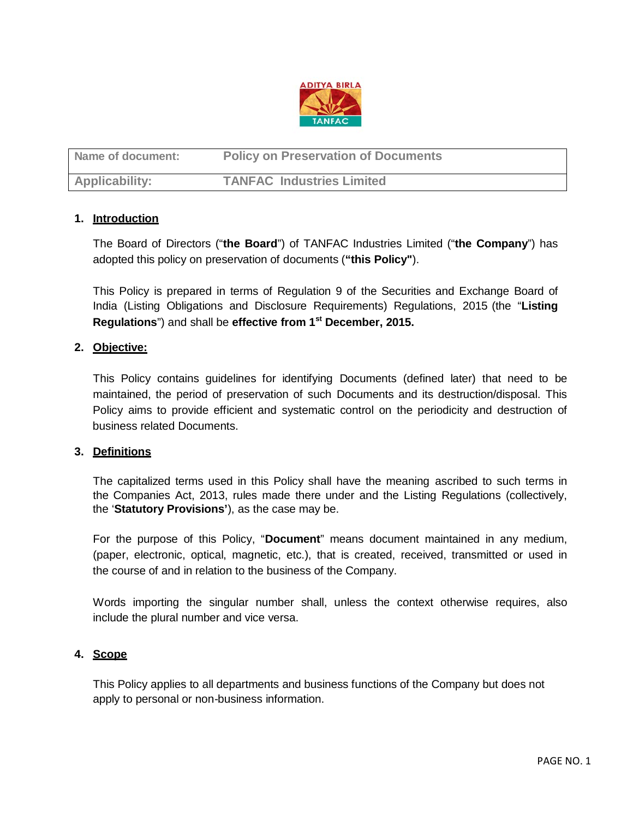

| Name of document:     | <b>Policy on Preservation of Documents</b> |
|-----------------------|--------------------------------------------|
| <b>Applicability:</b> | <b>TANFAC Industries Limited</b>           |

## **1. Introduction**

The Board of Directors ("**the Board**") of TANFAC Industries Limited ("**the Company**") has adopted this policy on preservation of documents (**"this Policy"**).

This Policy is prepared in terms of Regulation 9 of the Securities and Exchange Board of India (Listing Obligations and Disclosure Requirements) Regulations, 2015 (the "**Listing Regulations**") and shall be **effective from 1st December, 2015.**

## **2. Objective:**

This Policy contains guidelines for identifying Documents (defined later) that need to be maintained, the period of preservation of such Documents and its destruction/disposal. This Policy aims to provide efficient and systematic control on the periodicity and destruction of business related Documents.

#### **3. Definitions**

The capitalized terms used in this Policy shall have the meaning ascribed to such terms in the Companies Act, 2013, rules made there under and the Listing Regulations (collectively, the '**Statutory Provisions'**), as the case may be.

For the purpose of this Policy, "**Document**" means document maintained in any medium, (paper, electronic, optical, magnetic, etc.), that is created, received, transmitted or used in the course of and in relation to the business of the Company.

Words importing the singular number shall, unless the context otherwise requires, also include the plural number and vice versa.

### **4. Scope**

This Policy applies to all departments and business functions of the Company but does not apply to personal or non-business information.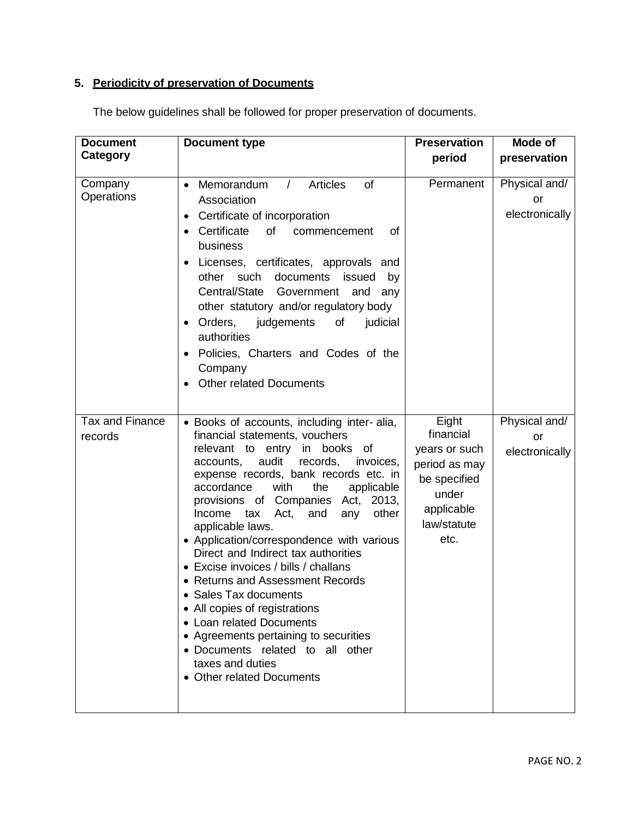# **5. Periodicity of preservation of Documents**

| <b>Document</b>            |                                                                                                                                                                                                                                                                                                                                                                                                                                                                                                                                                                                                                                                                                                                                                 | <b>Preservation</b>                                                                                                | Mode of                                      |
|----------------------------|-------------------------------------------------------------------------------------------------------------------------------------------------------------------------------------------------------------------------------------------------------------------------------------------------------------------------------------------------------------------------------------------------------------------------------------------------------------------------------------------------------------------------------------------------------------------------------------------------------------------------------------------------------------------------------------------------------------------------------------------------|--------------------------------------------------------------------------------------------------------------------|----------------------------------------------|
| Category                   | <b>Document type</b>                                                                                                                                                                                                                                                                                                                                                                                                                                                                                                                                                                                                                                                                                                                            | period                                                                                                             | preservation                                 |
| Company<br>Operations      | Memorandum<br>$\sqrt{2}$<br><b>Articles</b><br><b>of</b><br>$\bullet$<br>Association<br>Certificate of incorporation<br>$\bullet$<br>Certificate<br>of<br>commencement<br>οf<br>business<br>Licenses, certificates, approvals and<br>$\bullet$<br>documents<br>other such<br>issued<br>by<br>Central/State Government<br>and<br>any<br>other statutory and/or regulatory body<br>Orders,<br>judgements<br>of<br>judicial<br>٠<br>authorities<br>Policies, Charters and Codes of the<br>Company<br><b>Other related Documents</b>                                                                                                                                                                                                                | Permanent                                                                                                          | Physical and/<br><b>or</b><br>electronically |
| Tax and Finance<br>records | • Books of accounts, including inter-alia,<br>financial statements, vouchers<br>relevant to entry<br>in books of<br>audit<br>records,<br>accounts,<br>invoices,<br>expense records, bank records etc. in<br>accordance<br>with<br>the<br>applicable<br>provisions of Companies Act, 2013,<br>other<br>Income<br>tax<br>Act,<br>and<br>any<br>applicable laws.<br>• Application/correspondence with various<br>Direct and Indirect tax authorities<br>• Excise invoices / bills / challans<br>• Returns and Assessment Records<br>Sales Tax documents<br>• All copies of registrations<br>• Loan related Documents<br>• Agreements pertaining to securities<br>• Documents related to all other<br>taxes and duties<br>• Other related Documents | Eight<br>financial<br>years or such<br>period as may<br>be specified<br>under<br>applicable<br>law/statute<br>etc. | Physical and/<br>or<br>electronically        |

The below guidelines shall be followed for proper preservation of documents.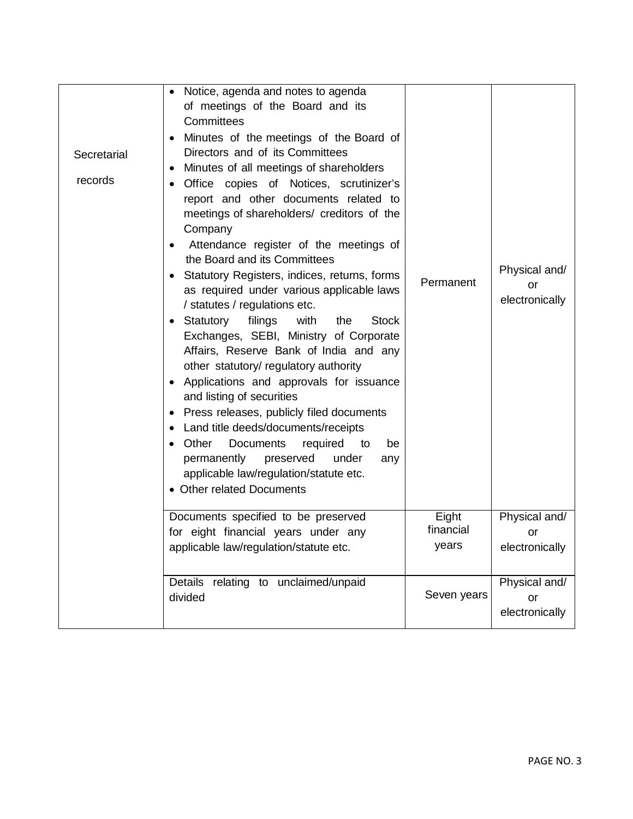| Secretarial | Notice, agenda and notes to agenda<br>$\bullet$<br>of meetings of the Board and its<br>Committees<br>Minutes of the meetings of the Board of<br>Directors and of its Committees<br>Minutes of all meetings of shareholders                                                                                                                                                                                                                                                                                                                                                                                                                                                                                                                                                                                                                                                         |                             |                                       |
|-------------|------------------------------------------------------------------------------------------------------------------------------------------------------------------------------------------------------------------------------------------------------------------------------------------------------------------------------------------------------------------------------------------------------------------------------------------------------------------------------------------------------------------------------------------------------------------------------------------------------------------------------------------------------------------------------------------------------------------------------------------------------------------------------------------------------------------------------------------------------------------------------------|-----------------------------|---------------------------------------|
| records     | Office copies of Notices, scrutinizer's<br>report and other documents related to<br>meetings of shareholders/ creditors of the<br>Company<br>Attendance register of the meetings of<br>the Board and its Committees<br>Statutory Registers, indices, returns, forms<br>as required under various applicable laws<br>/ statutes / regulations etc.<br>Statutory filings<br>with<br><b>Stock</b><br>the<br>Exchanges, SEBI, Ministry of Corporate<br>Affairs, Reserve Bank of India and any<br>other statutory/ regulatory authority<br>Applications and approvals for issuance<br>and listing of securities<br>Press releases, publicly filed documents<br>$\bullet$<br>Land title deeds/documents/receipts<br>Other<br><b>Documents</b><br>required<br>be<br>to<br>permanently<br>preserved<br>under<br>any<br>applicable law/regulation/statute etc.<br>• Other related Documents | Permanent                   | Physical and/<br>or<br>electronically |
|             | Documents specified to be preserved<br>for eight financial years under any<br>applicable law/regulation/statute etc.                                                                                                                                                                                                                                                                                                                                                                                                                                                                                                                                                                                                                                                                                                                                                               | Eight<br>financial<br>years | Physical and/<br>or<br>electronically |
|             | relating to unclaimed/unpaid<br>Details<br>divided                                                                                                                                                                                                                                                                                                                                                                                                                                                                                                                                                                                                                                                                                                                                                                                                                                 | Seven years                 | Physical and/<br>or<br>electronically |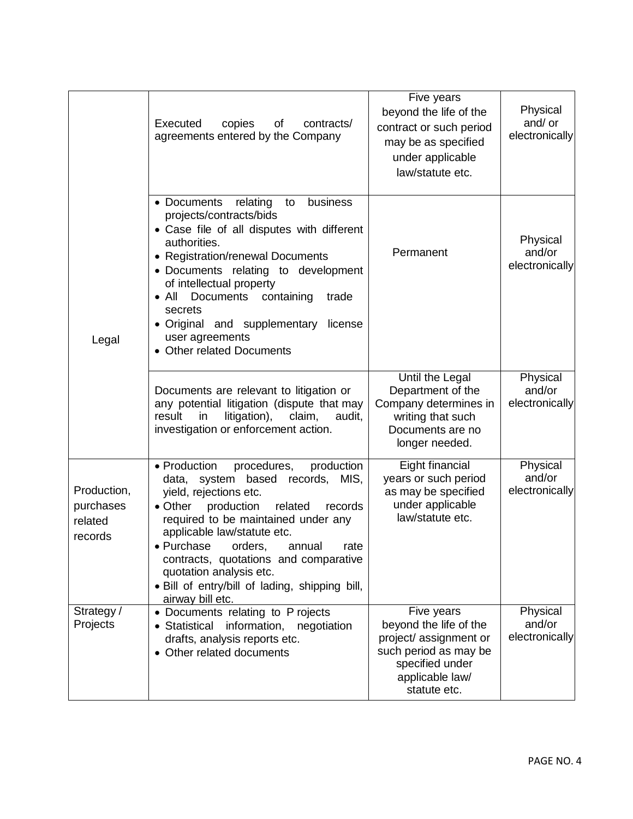|                                                | Executed<br>copies<br>of<br>contracts/<br>agreements entered by the Company                                                                                                                                                                                                                                                                                                                                                     | Five years<br>beyond the life of the<br>contract or such period<br>may be as specified<br>under applicable<br>law/statute etc.               | Physical<br>and/ or<br>electronically |
|------------------------------------------------|---------------------------------------------------------------------------------------------------------------------------------------------------------------------------------------------------------------------------------------------------------------------------------------------------------------------------------------------------------------------------------------------------------------------------------|----------------------------------------------------------------------------------------------------------------------------------------------|---------------------------------------|
| Legal                                          | business<br>• Documents<br>relating<br>to<br>projects/contracts/bids<br>• Case file of all disputes with different<br>authorities.<br>• Registration/renewal Documents<br>• Documents relating to development<br>of intellectual property<br>Documents<br>$\bullet$ All<br>containing<br>trade<br>secrets<br>• Original and supplementary<br>license<br>user agreements<br>• Other related Documents                            | Permanent                                                                                                                                    | Physical<br>and/or<br>electronically  |
|                                                | Documents are relevant to litigation or<br>any potential litigation (dispute that may<br>result<br>in<br>litigation),<br>claim,<br>audit,<br>investigation or enforcement action.                                                                                                                                                                                                                                               | Until the Legal<br>Department of the<br>Company determines in<br>writing that such<br>Documents are no<br>longer needed.                     | Physical<br>and/or<br>electronically  |
| Production,<br>purchases<br>related<br>records | • Production<br>production<br>procedures,<br>system based<br>records, MIS,<br>data,<br>yield, rejections etc.<br>production<br>$\bullet$ Other<br>related<br>records<br>required to be maintained under any<br>applicable law/statute etc.<br>• Purchase<br>orders,<br>rate<br>annual<br>contracts, quotations and comparative<br>quotation analysis etc.<br>. Bill of entry/bill of lading, shipping bill,<br>airway bill etc. | Eight financial<br>years or such period<br>as may be specified<br>under applicable<br>law/statute etc.                                       | Physical<br>and/or<br>electronically  |
| Strategy /<br>Projects                         | • Documents relating to P rojects<br>· Statistical information, negotiation<br>drafts, analysis reports etc.<br>• Other related documents                                                                                                                                                                                                                                                                                       | Five years<br>beyond the life of the<br>project/assignment or<br>such period as may be<br>specified under<br>applicable law/<br>statute etc. | Physical<br>and/or<br>electronically  |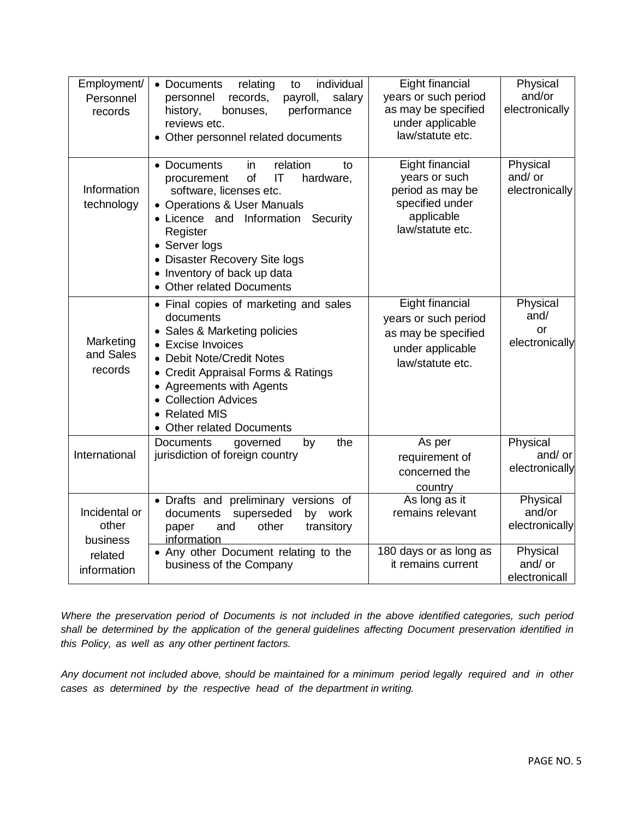| Employment/<br>Personnel<br>records                          | individual<br>• Documents<br>relating<br>to<br>records,<br>payroll,<br>salary<br>personnel<br>performance<br>history,<br>bonuses,<br>reviews etc.<br>• Other personnel related documents                                                                                                                  | Eight financial<br>years or such period<br>as may be specified<br>under applicable<br>law/statute etc.    | Physical<br>and/or<br>electronically                                         |
|--------------------------------------------------------------|-----------------------------------------------------------------------------------------------------------------------------------------------------------------------------------------------------------------------------------------------------------------------------------------------------------|-----------------------------------------------------------------------------------------------------------|------------------------------------------------------------------------------|
| Information<br>technology                                    | • Documents<br>in.<br>relation<br>to<br>of<br>IT<br>hardware,<br>procurement<br>software, licenses etc.<br>• Operations & User Manuals<br>• Licence and Information<br>Security<br>Register<br>• Server logs<br>• Disaster Recovery Site logs<br>• Inventory of back up data<br>• Other related Documents | Eight financial<br>years or such<br>period as may be<br>specified under<br>applicable<br>law/statute etc. | Physical<br>and/ or<br>electronically                                        |
| Marketing<br>and Sales<br>records                            | • Final copies of marketing and sales<br>documents<br>• Sales & Marketing policies<br>• Excise Invoices<br>• Debit Note/Credit Notes<br>• Credit Appraisal Forms & Ratings<br>• Agreements with Agents<br>• Collection Advices<br>• Related MIS<br>• Other related Documents                              | Eight financial<br>years or such period<br>as may be specified<br>under applicable<br>law/statute etc.    | Physical<br>and/<br>or<br>electronically                                     |
| International                                                | the<br><b>Documents</b><br>by<br>governed<br>jurisdiction of foreign country                                                                                                                                                                                                                              | As per<br>requirement of<br>concerned the<br>country                                                      | Physical<br>and/ or<br>electronically                                        |
| Incidental or<br>other<br>business<br>related<br>information | • Drafts and preliminary versions of<br>superseded<br>by work<br>documents<br>paper<br>other<br>transitory<br>and<br>information<br>• Any other Document relating to the<br>business of the Company                                                                                                       | As long as it<br>remains relevant<br>180 days or as long as<br>it remains current                         | Physical<br>and/or<br>electronically<br>Physical<br>and/ or<br>electronicall |

*Where the preservation period of Documents is not included in the above identified categories, such period shall be determined by the application of the general guidelines affecting Document preservation identified in this Policy, as well as any other pertinent factors.*

*Any document not included above, should be maintained for a minimum period legally required and in other cases as determined by the respective head of the department in writing.*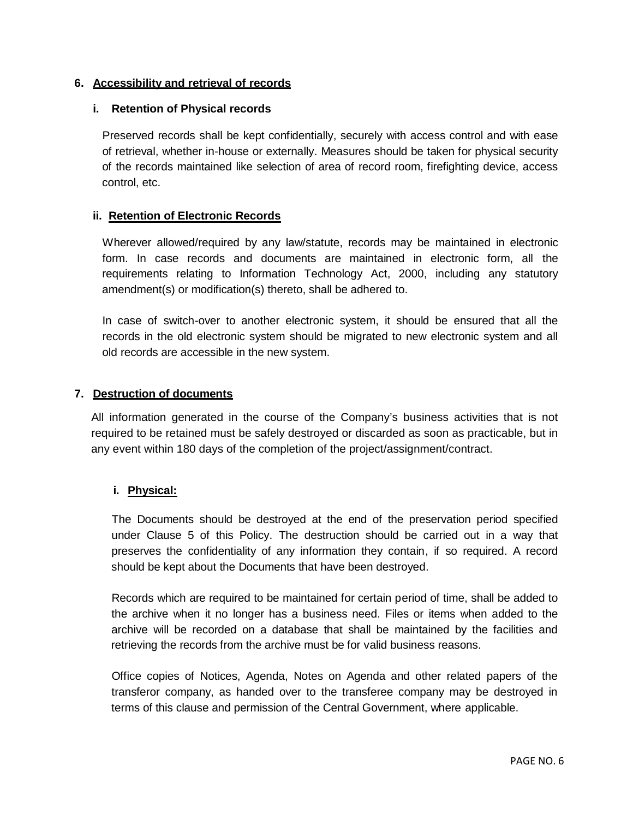# **6. Accessibility and retrieval of records**

### **i. Retention of Physical records**

Preserved records shall be kept confidentially, securely with access control and with ease of retrieval, whether in-house or externally. Measures should be taken for physical security of the records maintained like selection of area of record room, firefighting device, access control, etc.

## **ii. Retention of Electronic Records**

Wherever allowed/required by any law/statute, records may be maintained in electronic form. In case records and documents are maintained in electronic form, all the requirements relating to Information Technology Act, 2000, including any statutory amendment(s) or modification(s) thereto, shall be adhered to.

In case of switch-over to another electronic system, it should be ensured that all the records in the old electronic system should be migrated to new electronic system and all old records are accessible in the new system.

#### **7. Destruction of documents**

All information generated in the course of the Company's business activities that is not required to be retained must be safely destroyed or discarded as soon as practicable, but in any event within 180 days of the completion of the project/assignment/contract.

# **i. Physical:**

The Documents should be destroyed at the end of the preservation period specified under Clause 5 of this Policy. The destruction should be carried out in a way that preserves the confidentiality of any information they contain, if so required. A record should be kept about the Documents that have been destroyed.

Records which are required to be maintained for certain period of time, shall be added to the archive when it no longer has a business need. Files or items when added to the archive will be recorded on a database that shall be maintained by the facilities and retrieving the records from the archive must be for valid business reasons.

Office copies of Notices, Agenda, Notes on Agenda and other related papers of the transferor company, as handed over to the transferee company may be destroyed in terms of this clause and permission of the Central Government, where applicable.